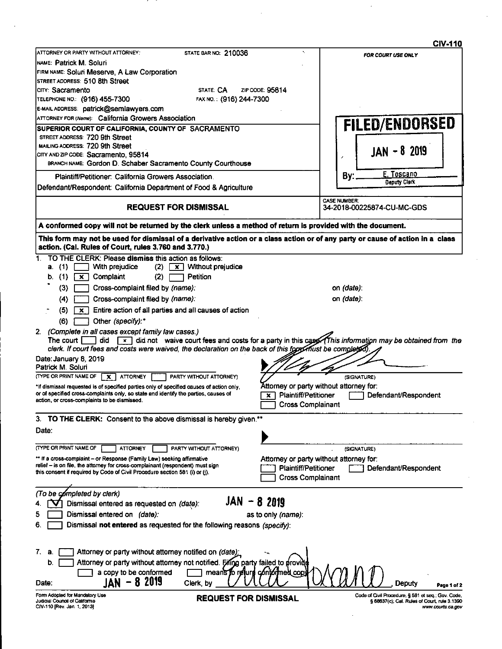|                                                                                                                                                                                                         | <b>CIV-110</b>                                                                                                          |
|---------------------------------------------------------------------------------------------------------------------------------------------------------------------------------------------------------|-------------------------------------------------------------------------------------------------------------------------|
| ATTORNEY OR PARTY WITHOUT ATTORNEY:<br>STATE BAR NO. 210036                                                                                                                                             | ۰.<br>FOR COURT USE ONLY                                                                                                |
| INAME: Patrick M. Soluri                                                                                                                                                                                |                                                                                                                         |
| FIRM NAME: Soluri Meserve, A Law Corporation                                                                                                                                                            |                                                                                                                         |
| STREET ADDRESS: 510 8th Street<br>Icity: Sacramento<br>STATE CA                                                                                                                                         | ZIP CODE: 95814                                                                                                         |
| TELEPHONE NO.: (916) 455-7300<br>FAX NO.: (916) 244-7300                                                                                                                                                |                                                                                                                         |
| E-MAIL ADDRESS: patrick@semlawyers.com                                                                                                                                                                  |                                                                                                                         |
| <b>ATTORNEY FOR (Name): California Growers Association</b>                                                                                                                                              |                                                                                                                         |
| SUPERIOR COURT OF CALIFORNIA, COUNTY OF SACRAMENTO                                                                                                                                                      | FILED/ENDORSED                                                                                                          |
| STREET ADDRESS: 720 9th Street                                                                                                                                                                          |                                                                                                                         |
| MAILING ADDRESS: 720 9th Street                                                                                                                                                                         |                                                                                                                         |
| CITY AND ZIP CODE: Sacramento, 95814                                                                                                                                                                    | $JAN - 8$ 2019                                                                                                          |
| BRANCH NAME: Gordon D. Schaber Sacramento County Courthouse                                                                                                                                             |                                                                                                                         |
| Plaintiff/Petitioner: California Growers Association.                                                                                                                                                   | E. Toscano<br>By:                                                                                                       |
| Defendant/Respondent: California Department of Food & Agriculture                                                                                                                                       | <b>Deputy Clerk</b>                                                                                                     |
|                                                                                                                                                                                                         | <b>CASE NUMBER:</b>                                                                                                     |
| <b>REQUEST FOR DISMISSAL</b>                                                                                                                                                                            | 34-2018-00225874-CU-MC-GDS                                                                                              |
| A conformed copy will not be returned by the clerk unless a method of return is provided with the document.                                                                                             |                                                                                                                         |
| This form may not be used for dismissal of a derivative action or a class action or of any party or cause of action in a class<br>action. (Cal. Rules of Court, rules 3.760 and 3.770.)                 |                                                                                                                         |
| TO THE CLERK: Please dismiss this action as follows:<br>1.                                                                                                                                              |                                                                                                                         |
| With prejudice<br>$(2)$ $\mathbf{x}$ Without prejudice<br>a. (1)                                                                                                                                        |                                                                                                                         |
| (1)<br>Complaint<br>(2)<br>Petition<br>  × 1<br>b.                                                                                                                                                      |                                                                                                                         |
| (3)<br>Cross-complaint filed by (name):                                                                                                                                                                 | on (date):                                                                                                              |
| Cross-complaint filed by (name):<br>(4)                                                                                                                                                                 | on (date):                                                                                                              |
| Entire action of all parties and all causes of action<br>(5)<br>$\mathbf{x}$                                                                                                                            |                                                                                                                         |
| Other (specify):*<br>(6)                                                                                                                                                                                |                                                                                                                         |
| 2. (Complete in all cases except family law cases.)<br>The court I<br>clerk. If court fees and costs were waived, the declaration on the back of this form flust be completed)<br>Date: January 8, 2019 | did $\boxed{x}$ did not waive court fees and costs for a party in this case (This information may be obtained from the  |
| Patrick M. Soluri<br>(TYPE OR PRINT NAME OF<br><b>ATTORNEY</b><br>PARTY WITHOUT ATTORNEY)<br>$\boldsymbol{\mathsf{x}}$                                                                                  | (SIGNATURE)                                                                                                             |
| *If dismissal requested is of specified parties only of specified causes of action only,                                                                                                                | Attorney or party without attorney for:                                                                                 |
| or of specified cross-complaints only, so state and identify the parties, causes of<br>action, or cross-complaints to be dismissed.                                                                     | <b>Plaintiff/Petitioner</b><br>Defendant/Respondent<br>$\times$ 1<br><b>Cross Complainant</b>                           |
| 3. TO THE CLERK: Consent to the above dismissal is hereby given.**                                                                                                                                      |                                                                                                                         |
| Date:                                                                                                                                                                                                   |                                                                                                                         |
|                                                                                                                                                                                                         |                                                                                                                         |
| (TYPE OR PRINT NAME OF<br><b>ATTORNEY</b><br>PARTY WITHOUT ATTORNEY)                                                                                                                                    | (SIGNATURE)                                                                                                             |
| ** If a cross-complaint - or Response (Family Law) seeking affirmative                                                                                                                                  | Attorney or party without attorney for:                                                                                 |
| relief - is on file, the attorney for cross-complainant (respondent) must sign<br>this consent if required by Code of Civil Procedure section 581 (i) or (j).                                           | <b>Plaintiff/Petitioner</b><br>Defendant/Respondent<br><b>Cross Complainant</b>                                         |
|                                                                                                                                                                                                         |                                                                                                                         |
| (To be completed by clerk)                                                                                                                                                                              |                                                                                                                         |
| JAN -<br>Dismissal entered as requested on (date):                                                                                                                                                      | 8 2019                                                                                                                  |
| Dismissal entered on (date).                                                                                                                                                                            | as to only (name):                                                                                                      |
| Dismissal not entered as requested for the following reasons (specify):<br>6                                                                                                                            |                                                                                                                         |
| 7.<br>Attorney or party without attorney notified on (date)<br>a.                                                                                                                                       |                                                                                                                         |
| Attorney or party without attorney not notified. Filing party failed to provide<br>b.                                                                                                                   |                                                                                                                         |
| a copy to be conformed                                                                                                                                                                                  | means to rejure contormed cop                                                                                           |
| 8 2019<br>JAN<br>Date.                                                                                                                                                                                  |                                                                                                                         |
| Clerk, by                                                                                                                                                                                               | Deputy<br>Page 1 of 2                                                                                                   |
| Form Adopted for Mandatory Use<br><b>REQUEST FOR DISMISSAL</b><br>Judicial Council of California<br>CIV-110 [Rev. Jan. 1, 2013]                                                                         | Code of Civil Procedure, § 581 et seq.; Gov. Code,<br>§ 68637(c); Cal. Rules of Court, rule 3.1390<br>www.courts.ca.gov |

 $\epsilon$ 

 $\hat{\mathcal{A}}$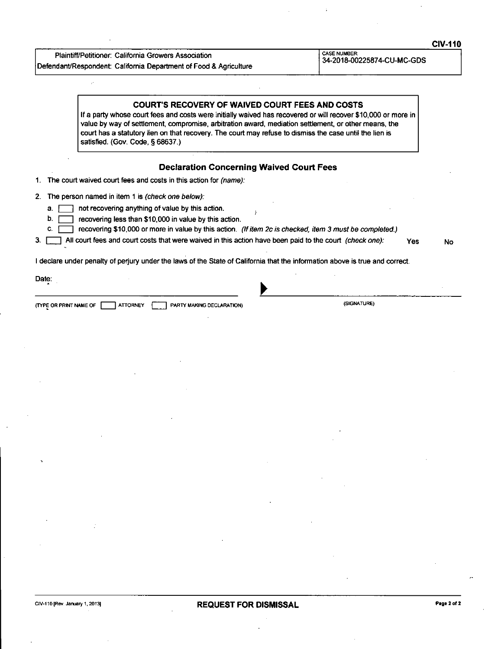| <b>Plaintiff/Petitioner: California Growers Association</b>       |
|-------------------------------------------------------------------|
| Defendant/Respondent: California Department of Food & Agriculture |

 $\mathcal{L}^{\mathcal{L}}$ 

CASE NUMBER: 34-2018-00225874-CU-MC-GDS

|          | <b>COURT'S RECOVERY OF WAIVED COURT FEES AND COSTS</b><br>If a party whose court fees and costs were initially waived has recovered or will recover \$10,000 or more in<br>value by way of settlement, compromise, arbitration award, mediation settlement, or other means, the<br>court has a statutory lien on that recovery. The court may refuse to dismiss the case until the lien is<br>satisfied. (Gov. Code, § 68637.) |    |
|----------|--------------------------------------------------------------------------------------------------------------------------------------------------------------------------------------------------------------------------------------------------------------------------------------------------------------------------------------------------------------------------------------------------------------------------------|----|
|          | <b>Declaration Concerning Waived Court Fees</b>                                                                                                                                                                                                                                                                                                                                                                                |    |
|          | 1. The court waived court fees and costs in this action for <i>(name)</i> :                                                                                                                                                                                                                                                                                                                                                    |    |
|          | 2. The person named in item 1 is (check one below):                                                                                                                                                                                                                                                                                                                                                                            |    |
| a.<br>D. | not recovering anything of value by this action.<br>recovering less than \$10,000 in value by this action.                                                                                                                                                                                                                                                                                                                     |    |
| C.       | recovering \$10,000 or more in value by this action. (If item 2c is checked, item 3 must be completed.)                                                                                                                                                                                                                                                                                                                        |    |
| З.       | All court fees and court costs that were waived in this action have been paid to the court (check one):<br>Yes                                                                                                                                                                                                                                                                                                                 | No |
|          | I declare under penalty of perjury under the laws of the State of California that the information above is true and correct.                                                                                                                                                                                                                                                                                                   |    |
| Date:    |                                                                                                                                                                                                                                                                                                                                                                                                                                |    |

| <b>ATTORNEY</b><br>PARTY MAKING DECLARATION)<br><b>ITYPE OR PRINT NAME OF</b> | (SIGNATURE) |  |
|-------------------------------------------------------------------------------|-------------|--|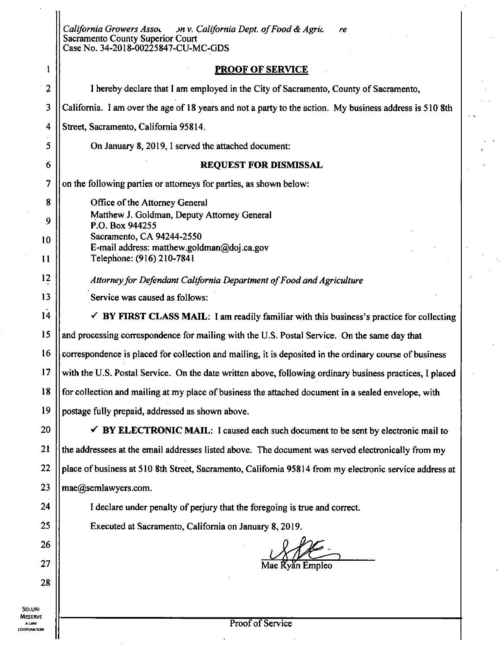| on v. California Dept. of Food & Agric<br>California Growers Asso.<br>re<br>Sacramento County Superior Court<br>Case No. 34-2018-00225847-CU-MC-GDS<br><b>PROOF OF SERVICE</b><br>1<br>$\overline{2}$<br>I hereby declare that I am employed in the City of Sacramento, County of Sacramento,<br>3<br>California. I am over the age of 18 years and not a party to the action. My business address is 510 8th<br>4<br>Street, Sacramento, California 95814.<br>5<br>On January 8, 2019, I served the attached document:<br>6<br><b>REQUEST FOR DISMISSAL</b><br>7<br>on the following parties or attorneys for parties, as shown below:<br>8<br>Office of the Attorney General<br>Matthew J. Goldman, Deputy Attorney General<br>9<br>P.O. Box 944255<br>Sacramento, CA 94244-2550<br>10<br>E-mail address: matthew.goldman@doj.ca.gov<br>Telephone: (916) 210-7841<br>11<br>12<br>Attorney for Defendant California Department of Food and Agriculture<br>13<br>Service was caused as follows:<br>14<br>$\checkmark$ BY FIRST CLASS MAIL: I am readily familiar with this business's practice for collecting<br>15<br>and processing correspondence for mailing with the U.S. Postal Service. On the same day that<br>16<br>correspondence is placed for collection and mailing, it is deposited in the ordinary course of business<br>17<br>with the U.S. Postal Service. On the date written above, following ordinary business practices, I placed<br>18<br>for collection and mailing at my place of business the attached document in a sealed envelope, with<br>19<br>postage fully prepaid, addressed as shown above.<br>20<br>$\checkmark$ BY ELECTRONIC MAIL: I caused each such document to be sent by electronic mail to<br>21<br>the addressees at the email addresses listed above. The document was served electronically from my<br>22<br>place of business at 510 8th Street, Sacramento, California 95814 from my electronic service address at<br>23<br>mae@semlawyers.com.<br>24<br>I declare under penalty of perjury that the foregoing is true and correct.<br>25<br>Executed at Sacramento, California on January 8, 2019.<br>26<br>27<br>Mae Řyăn Empleo<br>28<br>Proof of Service<br><b>ALAW</b> |                |  |
|----------------------------------------------------------------------------------------------------------------------------------------------------------------------------------------------------------------------------------------------------------------------------------------------------------------------------------------------------------------------------------------------------------------------------------------------------------------------------------------------------------------------------------------------------------------------------------------------------------------------------------------------------------------------------------------------------------------------------------------------------------------------------------------------------------------------------------------------------------------------------------------------------------------------------------------------------------------------------------------------------------------------------------------------------------------------------------------------------------------------------------------------------------------------------------------------------------------------------------------------------------------------------------------------------------------------------------------------------------------------------------------------------------------------------------------------------------------------------------------------------------------------------------------------------------------------------------------------------------------------------------------------------------------------------------------------------------------------------------------------------------------------------------------------------------------------------------------------------------------------------------------------------------------------------------------------------------------------------------------------------------------------------------------------------------------------------------------------------------------------------------------------------------------------------------------------------------------------------|----------------|--|
| SOLURI<br>RPORATION                                                                                                                                                                                                                                                                                                                                                                                                                                                                                                                                                                                                                                                                                                                                                                                                                                                                                                                                                                                                                                                                                                                                                                                                                                                                                                                                                                                                                                                                                                                                                                                                                                                                                                                                                                                                                                                                                                                                                                                                                                                                                                                                                                                                        |                |  |
|                                                                                                                                                                                                                                                                                                                                                                                                                                                                                                                                                                                                                                                                                                                                                                                                                                                                                                                                                                                                                                                                                                                                                                                                                                                                                                                                                                                                                                                                                                                                                                                                                                                                                                                                                                                                                                                                                                                                                                                                                                                                                                                                                                                                                            |                |  |
|                                                                                                                                                                                                                                                                                                                                                                                                                                                                                                                                                                                                                                                                                                                                                                                                                                                                                                                                                                                                                                                                                                                                                                                                                                                                                                                                                                                                                                                                                                                                                                                                                                                                                                                                                                                                                                                                                                                                                                                                                                                                                                                                                                                                                            |                |  |
|                                                                                                                                                                                                                                                                                                                                                                                                                                                                                                                                                                                                                                                                                                                                                                                                                                                                                                                                                                                                                                                                                                                                                                                                                                                                                                                                                                                                                                                                                                                                                                                                                                                                                                                                                                                                                                                                                                                                                                                                                                                                                                                                                                                                                            |                |  |
|                                                                                                                                                                                                                                                                                                                                                                                                                                                                                                                                                                                                                                                                                                                                                                                                                                                                                                                                                                                                                                                                                                                                                                                                                                                                                                                                                                                                                                                                                                                                                                                                                                                                                                                                                                                                                                                                                                                                                                                                                                                                                                                                                                                                                            |                |  |
|                                                                                                                                                                                                                                                                                                                                                                                                                                                                                                                                                                                                                                                                                                                                                                                                                                                                                                                                                                                                                                                                                                                                                                                                                                                                                                                                                                                                                                                                                                                                                                                                                                                                                                                                                                                                                                                                                                                                                                                                                                                                                                                                                                                                                            |                |  |
|                                                                                                                                                                                                                                                                                                                                                                                                                                                                                                                                                                                                                                                                                                                                                                                                                                                                                                                                                                                                                                                                                                                                                                                                                                                                                                                                                                                                                                                                                                                                                                                                                                                                                                                                                                                                                                                                                                                                                                                                                                                                                                                                                                                                                            |                |  |
|                                                                                                                                                                                                                                                                                                                                                                                                                                                                                                                                                                                                                                                                                                                                                                                                                                                                                                                                                                                                                                                                                                                                                                                                                                                                                                                                                                                                                                                                                                                                                                                                                                                                                                                                                                                                                                                                                                                                                                                                                                                                                                                                                                                                                            |                |  |
|                                                                                                                                                                                                                                                                                                                                                                                                                                                                                                                                                                                                                                                                                                                                                                                                                                                                                                                                                                                                                                                                                                                                                                                                                                                                                                                                                                                                                                                                                                                                                                                                                                                                                                                                                                                                                                                                                                                                                                                                                                                                                                                                                                                                                            |                |  |
|                                                                                                                                                                                                                                                                                                                                                                                                                                                                                                                                                                                                                                                                                                                                                                                                                                                                                                                                                                                                                                                                                                                                                                                                                                                                                                                                                                                                                                                                                                                                                                                                                                                                                                                                                                                                                                                                                                                                                                                                                                                                                                                                                                                                                            |                |  |
|                                                                                                                                                                                                                                                                                                                                                                                                                                                                                                                                                                                                                                                                                                                                                                                                                                                                                                                                                                                                                                                                                                                                                                                                                                                                                                                                                                                                                                                                                                                                                                                                                                                                                                                                                                                                                                                                                                                                                                                                                                                                                                                                                                                                                            |                |  |
|                                                                                                                                                                                                                                                                                                                                                                                                                                                                                                                                                                                                                                                                                                                                                                                                                                                                                                                                                                                                                                                                                                                                                                                                                                                                                                                                                                                                                                                                                                                                                                                                                                                                                                                                                                                                                                                                                                                                                                                                                                                                                                                                                                                                                            |                |  |
|                                                                                                                                                                                                                                                                                                                                                                                                                                                                                                                                                                                                                                                                                                                                                                                                                                                                                                                                                                                                                                                                                                                                                                                                                                                                                                                                                                                                                                                                                                                                                                                                                                                                                                                                                                                                                                                                                                                                                                                                                                                                                                                                                                                                                            |                |  |
|                                                                                                                                                                                                                                                                                                                                                                                                                                                                                                                                                                                                                                                                                                                                                                                                                                                                                                                                                                                                                                                                                                                                                                                                                                                                                                                                                                                                                                                                                                                                                                                                                                                                                                                                                                                                                                                                                                                                                                                                                                                                                                                                                                                                                            |                |  |
|                                                                                                                                                                                                                                                                                                                                                                                                                                                                                                                                                                                                                                                                                                                                                                                                                                                                                                                                                                                                                                                                                                                                                                                                                                                                                                                                                                                                                                                                                                                                                                                                                                                                                                                                                                                                                                                                                                                                                                                                                                                                                                                                                                                                                            |                |  |
|                                                                                                                                                                                                                                                                                                                                                                                                                                                                                                                                                                                                                                                                                                                                                                                                                                                                                                                                                                                                                                                                                                                                                                                                                                                                                                                                                                                                                                                                                                                                                                                                                                                                                                                                                                                                                                                                                                                                                                                                                                                                                                                                                                                                                            |                |  |
|                                                                                                                                                                                                                                                                                                                                                                                                                                                                                                                                                                                                                                                                                                                                                                                                                                                                                                                                                                                                                                                                                                                                                                                                                                                                                                                                                                                                                                                                                                                                                                                                                                                                                                                                                                                                                                                                                                                                                                                                                                                                                                                                                                                                                            |                |  |
|                                                                                                                                                                                                                                                                                                                                                                                                                                                                                                                                                                                                                                                                                                                                                                                                                                                                                                                                                                                                                                                                                                                                                                                                                                                                                                                                                                                                                                                                                                                                                                                                                                                                                                                                                                                                                                                                                                                                                                                                                                                                                                                                                                                                                            |                |  |
|                                                                                                                                                                                                                                                                                                                                                                                                                                                                                                                                                                                                                                                                                                                                                                                                                                                                                                                                                                                                                                                                                                                                                                                                                                                                                                                                                                                                                                                                                                                                                                                                                                                                                                                                                                                                                                                                                                                                                                                                                                                                                                                                                                                                                            |                |  |
|                                                                                                                                                                                                                                                                                                                                                                                                                                                                                                                                                                                                                                                                                                                                                                                                                                                                                                                                                                                                                                                                                                                                                                                                                                                                                                                                                                                                                                                                                                                                                                                                                                                                                                                                                                                                                                                                                                                                                                                                                                                                                                                                                                                                                            |                |  |
|                                                                                                                                                                                                                                                                                                                                                                                                                                                                                                                                                                                                                                                                                                                                                                                                                                                                                                                                                                                                                                                                                                                                                                                                                                                                                                                                                                                                                                                                                                                                                                                                                                                                                                                                                                                                                                                                                                                                                                                                                                                                                                                                                                                                                            |                |  |
|                                                                                                                                                                                                                                                                                                                                                                                                                                                                                                                                                                                                                                                                                                                                                                                                                                                                                                                                                                                                                                                                                                                                                                                                                                                                                                                                                                                                                                                                                                                                                                                                                                                                                                                                                                                                                                                                                                                                                                                                                                                                                                                                                                                                                            |                |  |
|                                                                                                                                                                                                                                                                                                                                                                                                                                                                                                                                                                                                                                                                                                                                                                                                                                                                                                                                                                                                                                                                                                                                                                                                                                                                                                                                                                                                                                                                                                                                                                                                                                                                                                                                                                                                                                                                                                                                                                                                                                                                                                                                                                                                                            |                |  |
|                                                                                                                                                                                                                                                                                                                                                                                                                                                                                                                                                                                                                                                                                                                                                                                                                                                                                                                                                                                                                                                                                                                                                                                                                                                                                                                                                                                                                                                                                                                                                                                                                                                                                                                                                                                                                                                                                                                                                                                                                                                                                                                                                                                                                            |                |  |
|                                                                                                                                                                                                                                                                                                                                                                                                                                                                                                                                                                                                                                                                                                                                                                                                                                                                                                                                                                                                                                                                                                                                                                                                                                                                                                                                                                                                                                                                                                                                                                                                                                                                                                                                                                                                                                                                                                                                                                                                                                                                                                                                                                                                                            |                |  |
|                                                                                                                                                                                                                                                                                                                                                                                                                                                                                                                                                                                                                                                                                                                                                                                                                                                                                                                                                                                                                                                                                                                                                                                                                                                                                                                                                                                                                                                                                                                                                                                                                                                                                                                                                                                                                                                                                                                                                                                                                                                                                                                                                                                                                            |                |  |
|                                                                                                                                                                                                                                                                                                                                                                                                                                                                                                                                                                                                                                                                                                                                                                                                                                                                                                                                                                                                                                                                                                                                                                                                                                                                                                                                                                                                                                                                                                                                                                                                                                                                                                                                                                                                                                                                                                                                                                                                                                                                                                                                                                                                                            |                |  |
|                                                                                                                                                                                                                                                                                                                                                                                                                                                                                                                                                                                                                                                                                                                                                                                                                                                                                                                                                                                                                                                                                                                                                                                                                                                                                                                                                                                                                                                                                                                                                                                                                                                                                                                                                                                                                                                                                                                                                                                                                                                                                                                                                                                                                            |                |  |
|                                                                                                                                                                                                                                                                                                                                                                                                                                                                                                                                                                                                                                                                                                                                                                                                                                                                                                                                                                                                                                                                                                                                                                                                                                                                                                                                                                                                                                                                                                                                                                                                                                                                                                                                                                                                                                                                                                                                                                                                                                                                                                                                                                                                                            |                |  |
|                                                                                                                                                                                                                                                                                                                                                                                                                                                                                                                                                                                                                                                                                                                                                                                                                                                                                                                                                                                                                                                                                                                                                                                                                                                                                                                                                                                                                                                                                                                                                                                                                                                                                                                                                                                                                                                                                                                                                                                                                                                                                                                                                                                                                            |                |  |
|                                                                                                                                                                                                                                                                                                                                                                                                                                                                                                                                                                                                                                                                                                                                                                                                                                                                                                                                                                                                                                                                                                                                                                                                                                                                                                                                                                                                                                                                                                                                                                                                                                                                                                                                                                                                                                                                                                                                                                                                                                                                                                                                                                                                                            | <b>AESERVE</b> |  |

 $\hat{\mathcal{A}}$ 

 $\bar{\zeta}$ 

MESERVE A LAW CORPORATION

ł,